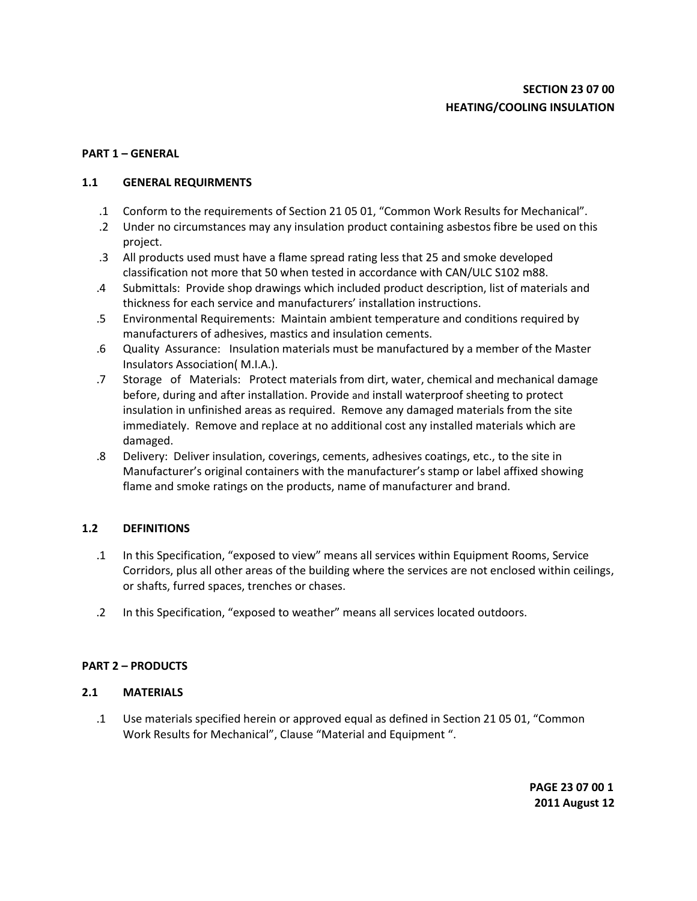# **PART 1 – GENERAL**

### **1.1 GENERAL REQUIRMENTS**

- .1 Conform to the requirements of Section 21 05 01, "Common Work Results for Mechanical".
- .2 Under no circumstances may any insulation product containing asbestos fibre be used on this project.
- .3 All products used must have a flame spread rating less that 25 and smoke developed classification not more that 50 when tested in accordance with CAN/ULC S102 m88.
- .4 Submittals: Provide shop drawings which included product description, list of materials and thickness for each service and manufacturers' installation instructions.
- .5 Environmental Requirements: Maintain ambient temperature and conditions required by manufacturers of adhesives, mastics and insulation cements.
- .6 Quality Assurance: Insulation materials must be manufactured by a member of the Master Insulators Association( M.I.A.).
- .7 Storage of Materials: Protect materials from dirt, water, chemical and mechanical damage before, during and after installation. Provide and install waterproof sheeting to protect insulation in unfinished areas as required. Remove any damaged materials from the site immediately. Remove and replace at no additional cost any installed materials which are damaged.
- .8 Delivery: Deliver insulation, coverings, cements, adhesives coatings, etc., to the site in Manufacturer's original containers with the manufacturer's stamp or label affixed showing flame and smoke ratings on the products, name of manufacturer and brand.

# **1.2 DEFINITIONS**

- .1 In this Specification, "exposed to view" means all services within Equipment Rooms, Service Corridors, plus all other areas of the building where the services are not enclosed within ceilings, or shafts, furred spaces, trenches or chases.
- .2 In this Specification, "exposed to weather" means all services located outdoors.

# **PART 2 – PRODUCTS**

### **2.1 MATERIALS**

.1 Use materials specified herein or approved equal as defined in Section 21 05 01, "Common Work Results for Mechanical", Clause "Material and Equipment ".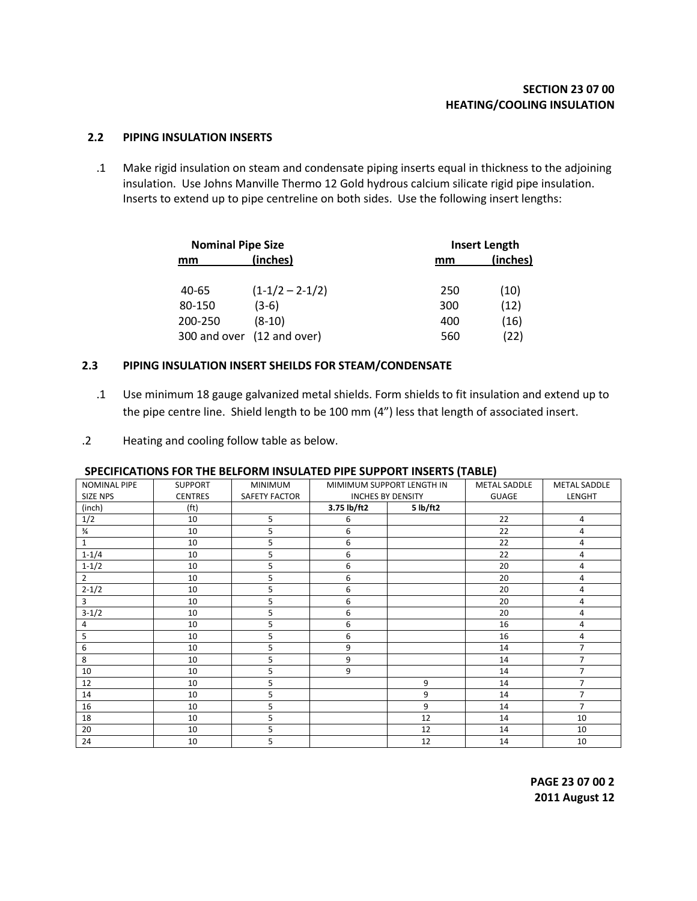#### **2.2 PIPING INSULATION INSERTS**

.1 Make rigid insulation on steam and condensate piping inserts equal in thickness to the adjoining insulation. Use Johns Manville Thermo 12 Gold hydrous calcium silicate rigid pipe insulation. Inserts to extend up to pipe centreline on both sides. Use the following insert lengths:

| <b>Nominal Pipe Size</b> |                            | <b>Insert Length</b> |          |  |  |
|--------------------------|----------------------------|----------------------|----------|--|--|
| mm                       | (inches)                   | mm                   | (inches) |  |  |
| 40-65                    | $(1-1/2 - 2-1/2)$          | 250                  | (10)     |  |  |
| 80-150                   | $(3-6)$                    | 300                  | (12)     |  |  |
| 200-250                  | $(8-10)$                   | 400                  | (16)     |  |  |
|                          | 300 and over (12 and over) | 560                  | (22)     |  |  |

### **2.3 PIPING INSULATION INSERT SHEILDS FOR STEAM/CONDENSATE**

- .1 Use minimum 18 gauge galvanized metal shields. Form shields to fit insulation and extend up to the pipe centre line. Shield length to be 100 mm (4") less that length of associated insert.
- .2 Heating and cooling follow table as below.

#### **SPECIFICATIONS FOR THE BELFORM INSULATED PIPE SUPPORT INSERTS (TABLE)**

| <b>NOMINAL PIPE</b> | <b>SUPPORT</b>    | <b>MINIMUM</b>       | MIMIMUM SUPPORT LENGTH IN |          | <b>METAL SADDLE</b> | <b>METAL SADDLE</b> |
|---------------------|-------------------|----------------------|---------------------------|----------|---------------------|---------------------|
| SIZE NPS            | <b>CENTRES</b>    | <b>SAFETY FACTOR</b> | <b>INCHES BY DENSITY</b>  |          | <b>GUAGE</b>        | LENGHT              |
| (inch)              | (f <sup>t</sup> ) |                      | 3.75 lb/ft2               | 5 lb/ft2 |                     |                     |
| 1/2                 | 10                | 5                    | 6                         |          | 22                  | 4                   |
| $\frac{3}{4}$       | 10                | 5                    | 6                         |          | 22                  | 4                   |
| $\mathbf{1}$        | 10                | 5                    | 6                         |          | 22                  | 4                   |
| $1 - 1/4$           | 10                | 5                    | 6                         |          | 22                  | 4                   |
| $1 - 1/2$           | 10                | 5                    | 6                         |          | 20                  | 4                   |
| $\overline{2}$      | 10                | 5                    | 6                         |          | 20                  | 4                   |
| $2 - 1/2$           | 10                | 5                    | 6                         |          | 20                  | 4                   |
| 3                   | 10                | 5                    | 6                         |          | 20                  | 4                   |
| $3-1/2$             | 10                | 5                    | 6                         |          | 20                  | 4                   |
| 4                   | 10                | 5                    | 6                         |          | 16                  | 4                   |
| 5                   | 10                | 5                    | 6                         |          | 16                  | 4                   |
| 6                   | 10                | 5                    | 9                         |          | 14                  | $\overline{7}$      |
| 8                   | 10                | 5                    | 9                         |          | 14                  | $\overline{7}$      |
| 10                  | 10                | 5                    | 9                         |          | 14                  | $\overline{7}$      |
| 12                  | 10                | 5                    |                           | 9        | 14                  | $\overline{7}$      |
| 14                  | 10                | 5                    |                           | 9        | 14                  | $\overline{7}$      |
| 16                  | 10                | 5                    |                           | 9        | 14                  | $\overline{7}$      |
| 18                  | 10                | 5                    |                           | 12       | 14                  | 10                  |
| 20                  | 10                | 5                    |                           | 12       | 14                  | 10                  |
| 24                  | 10                | 5                    |                           | 12       | 14                  | 10                  |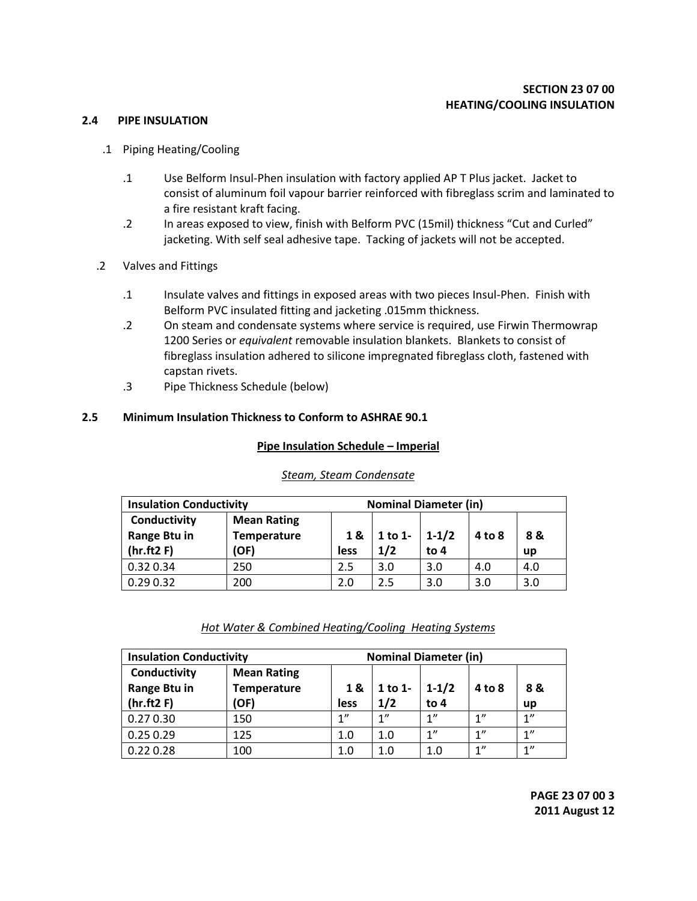#### **2.4 PIPE INSULATION**

- .1 Piping Heating/Cooling
	- .1 Use Belform Insul-Phen insulation with factory applied AP T Plus jacket. Jacket to consist of aluminum foil vapour barrier reinforced with fibreglass scrim and laminated to a fire resistant kraft facing.
	- .2 In areas exposed to view, finish with Belform PVC (15mil) thickness "Cut and Curled" jacketing. With self seal adhesive tape. Tacking of jackets will not be accepted.
- .2 Valves and Fittings
	- .1 Insulate valves and fittings in exposed areas with two pieces Insul-Phen. Finish with Belform PVC insulated fitting and jacketing .015mm thickness.
	- .2 On steam and condensate systems where service is required, use Firwin Thermowrap 1200 Series or *equivalent* removable insulation blankets. Blankets to consist of fibreglass insulation adhered to silicone impregnated fibreglass cloth, fastened with capstan rivets.
	- .3 Pipe Thickness Schedule (below)

### **2.5 Minimum Insulation Thickness to Conform to ASHRAE 90.1**

#### **Pipe Insulation Schedule – Imperial**

|                              | <b>Insulation Conductivity</b><br><b>Nominal Diameter (in)</b> |      |         |           |        |           |
|------------------------------|----------------------------------------------------------------|------|---------|-----------|--------|-----------|
| Conductivity<br>Range Btu in | <b>Mean Rating</b><br><b>Temperature</b>                       | 1&   | 1 to 1- | $1 - 1/2$ | 4 to 8 | 8 &       |
| (hr.ft2F)                    | (OF)                                                           | less | 1/2     | to $4$    |        | <b>up</b> |
| 0.32 0.34                    | 250                                                            | 2.5  | 3.0     | 3.0       | 4.0    | 4.0       |
| 0.290.32                     | 200                                                            | 2.0  | 2.5     | 3.0       | 3.0    | 3.0       |

# *Steam, Steam Condensate*

### *Hot Water & Combined Heating/Cooling Heating Systems*

| <b>Insulation Conductivity</b><br><b>Nominal Diameter (in)</b> |                                                  |            |                |                     |            |                    |
|----------------------------------------------------------------|--------------------------------------------------|------------|----------------|---------------------|------------|--------------------|
| Conductivity<br>Range Btu in<br>(hr.ft2F)                      | <b>Mean Rating</b><br><b>Temperature</b><br>(OF) | 1&<br>less | 1 to 1-<br>1/2 | $1 - 1/2$<br>to $4$ | $4$ to $8$ | 8&<br>up           |
| 0.270.30                                                       | 150                                              | 1"         | 1"             | 1"                  | 1"         | 1"                 |
| 0.250.29                                                       | 125                                              | 1.0        | 1.0            | 1"                  | 1"         | 1"                 |
| 0.22 0.28                                                      | 100                                              | 1.0        | 1.0            | 1.0                 | 1"         | $1^{\prime\prime}$ |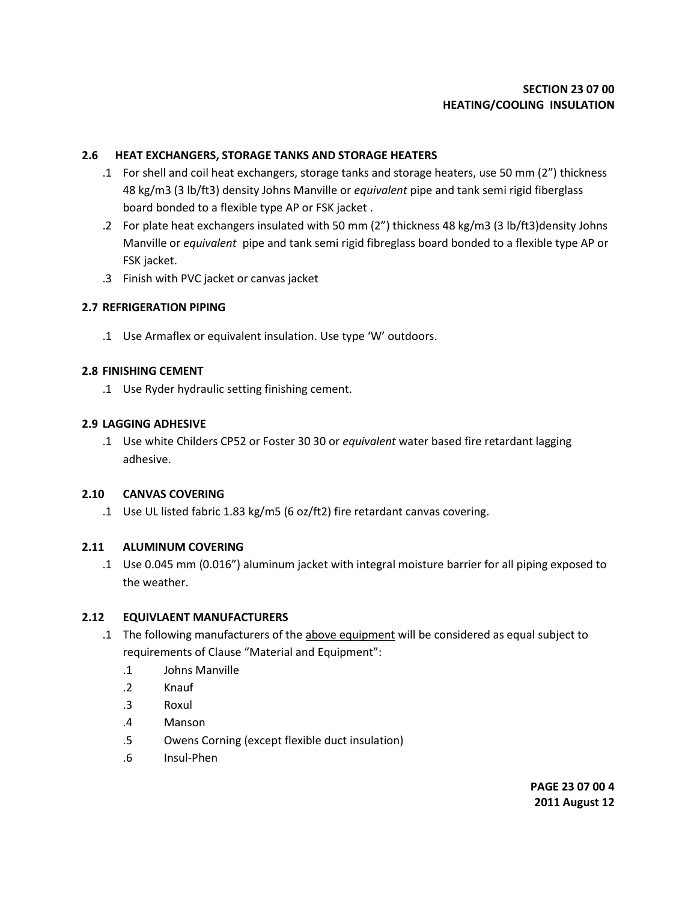## **2.6 HEAT EXCHANGERS, STORAGE TANKS AND STORAGE HEATERS**

- .1 For shell and coil heat exchangers, storage tanks and storage heaters, use 50 mm (2") thickness 48 kg/m3 (3 lb/ft3) density Johns Manville or *equivalent* pipe and tank semi rigid fiberglass board bonded to a flexible type AP or FSK jacket .
- .2 For plate heat exchangers insulated with 50 mm (2") thickness 48 kg/m3 (3 lb/ft3)density Johns Manville or *equivalent* pipe and tank semi rigid fibreglass board bonded to a flexible type AP or FSK jacket.
- .3 Finish with PVC jacket or canvas jacket

### **2.7 REFRIGERATION PIPING**

.1 Use Armaflex or equivalent insulation. Use type 'W' outdoors.

### **2.8 FINISHING CEMENT**

.1 Use Ryder hydraulic setting finishing cement.

### **2.9 LAGGING ADHESIVE**

.1 Use white Childers CP52 or Foster 30 30 or *equivalent* water based fire retardant lagging adhesive.

### **2.10 CANVAS COVERING**

.1 Use UL listed fabric 1.83 kg/m5 (6 oz/ft2) fire retardant canvas covering.

# **2.11 ALUMINUM COVERING**

.1 Use 0.045 mm (0.016") aluminum jacket with integral moisture barrier for all piping exposed to the weather.

# **2.12 EQUIVLAENT MANUFACTURERS**

- .1 The following manufacturers of the above equipment will be considered as equal subject to requirements of Clause "Material and Equipment":
	- .1 Johns Manville
	- .2 Knauf
	- .3 Roxul
	- .4 Manson
	- .5 Owens Corning (except flexible duct insulation)
	- .6 Insul-Phen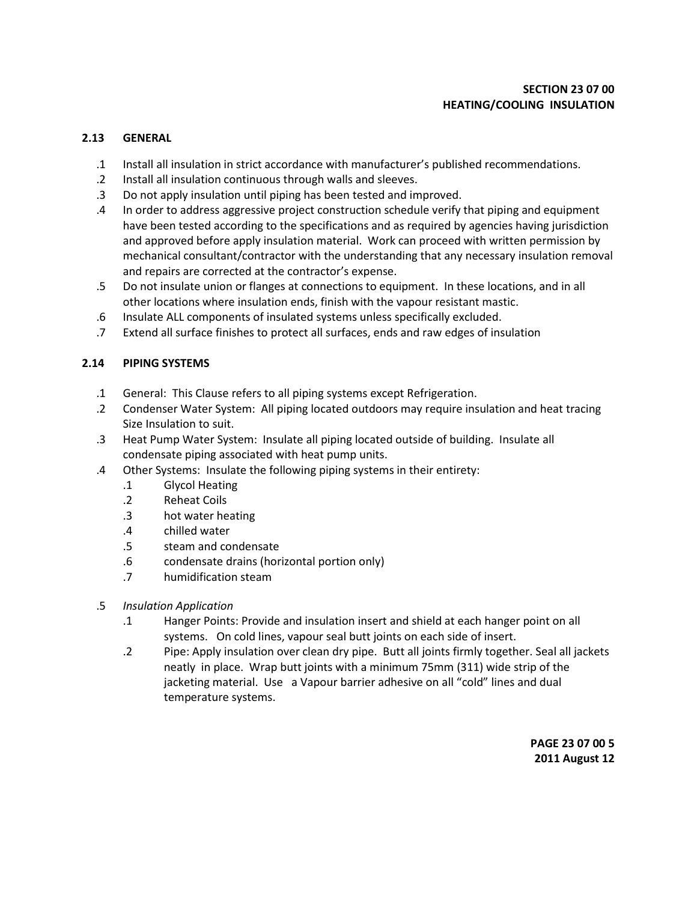## **2.13 GENERAL**

- .1 Install all insulation in strict accordance with manufacturer's published recommendations.
- .2 Install all insulation continuous through walls and sleeves.
- .3 Do not apply insulation until piping has been tested and improved.
- .4 In order to address aggressive project construction schedule verify that piping and equipment have been tested according to the specifications and as required by agencies having jurisdiction and approved before apply insulation material. Work can proceed with written permission by mechanical consultant/contractor with the understanding that any necessary insulation removal and repairs are corrected at the contractor's expense.
- .5 Do not insulate union or flanges at connections to equipment. In these locations, and in all other locations where insulation ends, finish with the vapour resistant mastic.
- .6 Insulate ALL components of insulated systems unless specifically excluded.
- .7 Extend all surface finishes to protect all surfaces, ends and raw edges of insulation

### **2.14 PIPING SYSTEMS**

- .1 General: This Clause refers to all piping systems except Refrigeration.
- .2 Condenser Water System: All piping located outdoors may require insulation and heat tracing Size Insulation to suit.
- .3 Heat Pump Water System: Insulate all piping located outside of building. Insulate all condensate piping associated with heat pump units.
- .4 Other Systems: Insulate the following piping systems in their entirety:
	- .1 Glycol Heating
	- .2 Reheat Coils
	- .3 hot water heating
	- .4 chilled water
	- .5 steam and condensate
	- .6 condensate drains (horizontal portion only)
	- .7 humidification steam
- .5 *Insulation Application*
	- .1 Hanger Points: Provide and insulation insert and shield at each hanger point on all systems. On cold lines, vapour seal butt joints on each side of insert.
	- .2 Pipe: Apply insulation over clean dry pipe. Butt all joints firmly together. Seal all jackets neatly in place. Wrap butt joints with a minimum 75mm (311) wide strip of the jacketing material. Use a Vapour barrier adhesive on all "cold" lines and dual temperature systems.

**PAGE 23 07 00 5 2011 August 12**